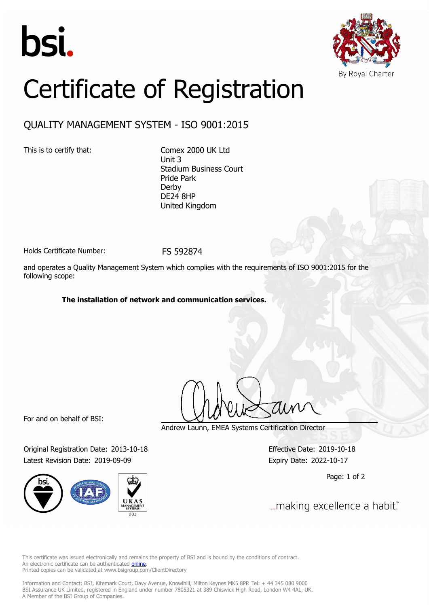



## Certificate of Registration

## QUALITY MANAGEMENT SYSTEM - ISO 9001:2015

This is to certify that: Comex 2000 UK Ltd Unit 3 Stadium Business Court Pride Park Derby DE24 8HP United Kingdom

Holds Certificate Number: FS 592874

and operates a Quality Management System which complies with the requirements of ISO 9001:2015 for the following scope:

## **The installation of network and communication services.**

For and on behalf of BSI:

Original Registration Date: 2013-10-18 Effective Date: 2019-10-18 Latest Revision Date: 2019-09-09 expiry Date: 2022-10-17



Andrew Launn, EMEA Systems Certification Director

Page: 1 of 2

... making excellence a habit."

This certificate was issued electronically and remains the property of BSI and is bound by the conditions of contract. An electronic certificate can be authenticated **[online](https://pgplus.bsigroup.com/CertificateValidation/CertificateValidator.aspx?CertificateNumber=FS+592874&ReIssueDate=09%2f09%2f2019&Template=uk)**. Printed copies can be validated at www.bsigroup.com/ClientDirectory

Information and Contact: BSI, Kitemark Court, Davy Avenue, Knowlhill, Milton Keynes MK5 8PP. Tel: + 44 345 080 9000 BSI Assurance UK Limited, registered in England under number 7805321 at 389 Chiswick High Road, London W4 4AL, UK. A Member of the BSI Group of Companies.